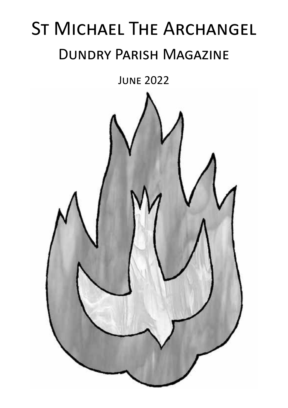# St Michael The Archangel Dundry Parish Magazine

June 2022

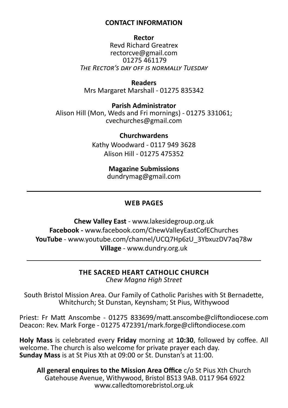### **CONTACT INFORMATION**

**Rector** Revd Richard Greatrex rectorcve@gmail.com 01275 461179 *The Rector's day off is normally Tuesday*

**Readers** Mrs Margaret Marshall - 01275 835342

**Parish Administrator** Alison Hill (Mon, Weds and Fri mornings) - 01275 331061; cvechurches@gmail.com

> **Churchwardens** Kathy Woodward - 0117 949 3628 Alison Hill - 01275 475352

> > **Magazine Submissions** dundrymag@gmail.com

### **WEB PAGES**

**Chew Valley East** - www.lakesidegroup.org.uk **Facebook -** www.facebook.com/ChewValleyEastCofEChurches **YouTube** - www.youtube.com/channel/UCQ7Hp6zU\_3YbxuzDV7aq78w **Village** - www.dundry.org.uk

> **THE SACRED HEART CATHOLIC CHURCH** *Chew Magna High Street*

South Bristol Mission Area. Our Family of Catholic Parishes with St Bernadette, Whitchurch; St Dunstan, Keynsham; St Pius, Withywood

Priest: Fr Matt Anscombe - 01275 833699/matt.anscombe@cliftondiocese.com Deacon: Rev. Mark Forge - 01275 472391/mark.forge@cliftondiocese.com

**Holy Mass** is celebrated every **Friday** morning at **10:30**, followed by coffee. All welcome. The church is also welcome for private prayer each day. **Sunday Mass** is at St Pius Xth at 09:00 or St. Dunstan's at 11:00.

**All general enquires to the Mission Area Office** c/o St Pius Xth Church Gatehouse Avenue, Withywood, Bristol BS13 9AB. 0117 964 6922 www.calledtomorebristol.org.uk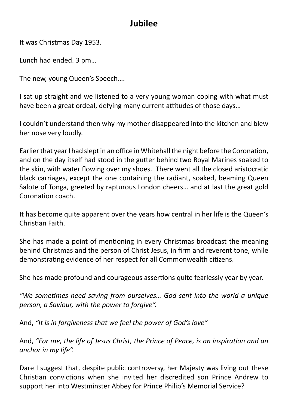### **Jubilee**

It was Christmas Day 1953.

Lunch had ended. 3 pm…

The new, young Queen's Speech….

I sat up straight and we listened to a very young woman coping with what must have been a great ordeal, defying many current attitudes of those days…

I couldn't understand then why my mother disappeared into the kitchen and blew her nose very loudly.

Earlier that year I had slept in an office in Whitehall the night before the Coronation, and on the day itself had stood in the gutter behind two Royal Marines soaked to the skin, with water flowing over my shoes. There went all the closed aristocratic black carriages, except the one containing the radiant, soaked, beaming Queen Salote of Tonga, greeted by rapturous London cheers… and at last the great gold Coronation coach.

It has become quite apparent over the years how central in her life is the Queen's Christian Faith.

She has made a point of mentioning in every Christmas broadcast the meaning behind Christmas and the person of Christ Jesus, in firm and reverent tone, while demonstrating evidence of her respect for all Commonwealth citizens.

She has made profound and courageous assertions quite fearlessly year by year.

*"We sometimes need saving from ourselves… God sent into the world a unique person, a Saviour, with the power to forgive".*

And, *"It is in forgiveness that we feel the power of God's love"*

And, *"For me, the life of Jesus Christ, the Prince of Peace, is an inspiration and an anchor in my life".*

Dare I suggest that, despite public controversy, her Majesty was living out these Christian convictions when she invited her discredited son Prince Andrew to support her into Westminster Abbey for Prince Philip's Memorial Service?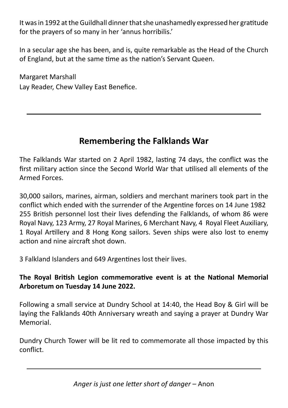It was in 1992 at the Guildhall dinner that she unashamedly expressed her gratitude for the prayers of so many in her 'annus horribilis.'

In a secular age she has been, and is, quite remarkable as the Head of the Church of England, but at the same time as the nation's Servant Queen.

Margaret Marshall Lay Reader, Chew Valley East Benefice.

### **Remembering the Falklands War**

The Falklands War started on 2 April 1982, lasting 74 days, the conflict was the first military action since the Second World War that utilised all elements of the Armed Forces.

30,000 sailors, marines, airman, soldiers and merchant mariners took part in the conflict which ended with the surrender of the Argentine forces on 14 June 1982 255 British personnel lost their lives defending the Falklands, of whom 86 were Royal Navy, 123 Army, 27 Royal Marines, 6 Merchant Navy, 4 Royal Fleet Auxiliary, 1 Royal Artillery and 8 Hong Kong sailors. Seven ships were also lost to enemy action and nine aircraft shot down.

3 Falkland Islanders and 649 Argentines lost their lives.

### **The Royal British Legion commemorative event is at the National Memorial Arboretum on Tuesday 14 June 2022.**

Following a small service at Dundry School at 14:40, the Head Boy & Girl will be laying the Falklands 40th Anniversary wreath and saying a prayer at Dundry War Memorial.

Dundry Church Tower will be lit red to commemorate all those impacted by this conflict.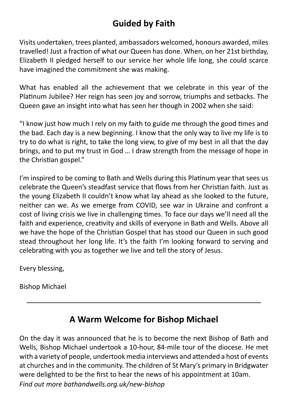### **Guided by Faith**

Visits undertaken, trees planted, ambassadors welcomed, honours awarded, miles travelled! Just a fraction of what our Queen has done. When, on her 21st birthday, Elizabeth II pledged herself to our service her whole life long, she could scarce have imagined the commitment she was making.

What has enabled all the achievement that we celebrate in this year of the Platinum Jubilee? Her reign has seen joy and sorrow, triumphs and setbacks. The Queen gave an insight into what has seen her though in 2002 when she said:

"I know just how much I rely on my faith to guide me through the good times and the bad. Each day is a new beginning. I know that the only way to live my life is to try to do what is right, to take the long view, to give of my best in all that the day brings, and to put my trust in God … I draw strength from the message of hope in the Christian gospel."

I'm inspired to be coming to Bath and Wells during this Platinum year that sees us celebrate the Queen's steadfast service that flows from her Christian faith. Just as the young Elizabeth II couldn't know what lay ahead as she looked to the future, neither can we. As we emerge from COVID, see war in Ukraine and confront a cost of living crisis we live in challenging times. To face our days we'll need all the faith and experience, creativity and skills of everyone in Bath and Wells. Above all we have the hope of the Christian Gospel that has stood our Queen in such good stead throughout her long life. It's the faith I'm looking forward to serving and celebrating with you as together we live and tell the story of Jesus.

Every blessing,

Bishop Michael

### **A Warm Welcome for Bishop Michael**

On the day it was announced that he is to become the next Bishop of Bath and Wells, Bishop Michael undertook a 10-hour, 84-mile tour of the diocese. He met with a variety of people, undertook media interviews and attended a host of events at churches and in the community. The children of St Mary's primary in Bridgwater were delighted to be the first to hear the news of his appointment at 10am. *Find out more bathandwells.org.uk/new-bishop*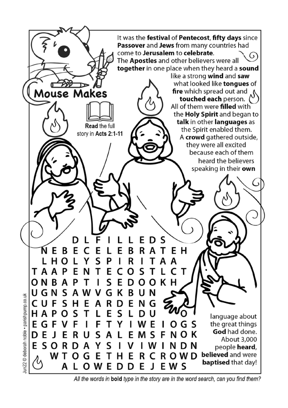

All the words in bold type in the story are in the word search, can you find them?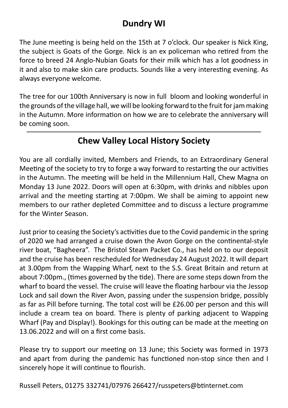### **Dundry WI**

The June meeting is being held on the 15th at 7 o'clock. Our speaker is Nick King, the subject is Goats of the Gorge. Nick is an ex policeman who retired from the force to breed 24 Anglo-Nubian Goats for their milk which has a lot goodness in it and also to make skin care products. Sounds like a very interesting evening. As always everyone welcome.

The tree for our 100th Anniversary is now in full bloom and looking wonderful in the grounds of the village hall, we will be looking forward to the fruit for jam making in the Autumn. More information on how we are to celebrate the anniversary will be coming soon.

### **Chew Valley Local History Society**

You are all cordially invited, Members and Friends, to an Extraordinary General Meeting of the society to try to forge a way forward to restarting the our activities in the Autumn. The meeting will be held in the Millennium Hall, Chew Magna on Monday 13 June 2022. Doors will open at 6:30pm, with drinks and nibbles upon arrival and the meeting starting at 7:00pm. We shall be aiming to appoint new members to our rather depleted Committee and to discuss a lecture programme for the Winter Season.

Just prior to ceasing the Society's activities due to the Covid pandemic in the spring of 2020 we had arranged a cruise down the Avon Gorge on the continental-style river boat, "Bagheera". The Bristol Steam Packet Co., has held on to our deposit and the cruise has been rescheduled for Wednesday 24 August 2022. It will depart at 3.00pm from the Wapping Wharf, next to the S.S. Great Britain and return at about 7:00pm., (times governed by the tide). There are some steps down from the wharf to board the vessel. The cruise will leave the floating harbour via the Jessop Lock and sail down the River Avon, passing under the suspension bridge, possibly as far as Pill before turning. The total cost will be £26.00 per person and this will include a cream tea on board. There is plenty of parking adjacent to Wapping Wharf (Pay and Display!). Bookings for this outing can be made at the meeting on 13.06.2022 and will on a first come basis.

Please try to support our meeting on 13 June; this Society was formed in 1973 and apart from during the pandemic has functioned non-stop since then and I sincerely hope it will continue to flourish.

Russell Peters, 01275 332741/07976 266427/russpeters@btinternet.com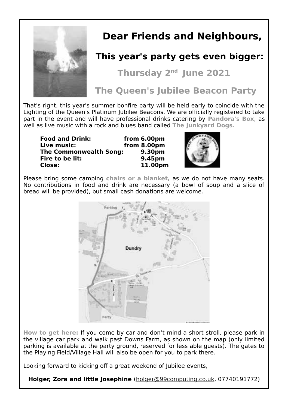

### **Dear Friends and Neighbours,**

### **This year's party gets even bigger:**

**Thursday 2nd June 2021**

**The Queen's Jubilee Beacon Party**

That's right, this year's summer bonfire party will be held early to coincide with the Lighting of the Queen's Platinum Jubilee Beacons. We are officially registered to take part in the event and will have professional drinks catering by **Pandora's Box**, as well as live music with a rock and blues band called **The Junkyard Dogs**.

**Food and Drink: from 6.00pm Live music: from 8.00pm The Commonwealth Song: 9.30pm Fire to be lit:**<br>Close: **Close: 11.00pm** 



Please bring some camping **chairs or a blanket,** as we do not have many seats. No contributions in food and drink are necessary (a bowl of soup and a slice of bread will be provided), but small cash donations are welcome.



**How to get here:** If you come by car and don't mind a short stroll, please park in the village car park and walk past Downs Farm, as shown on the map (only limited parking is available at the party ground, reserved for less able guests). The gates to the Playing Field/Village Hall will also be open for you to park there.

Looking forward to kicking off a great weekend of Jubilee events,

**Holger, Zora and little Josephine** (holger@99computing.co.uk, 07740191772)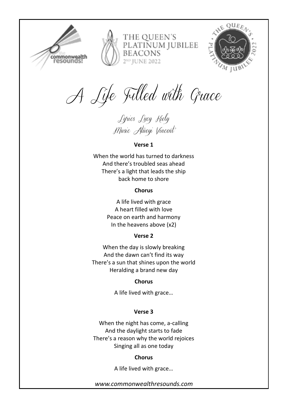

THE OUEEN'S PLATINUM JUBILEE **BEACONS** 2<sup>ND</sup> IUNE 2022



*A Life Filled with Grace*

*Lyrics Lucy Kiely Music Atueyi Vincent*

### **Verse 1**

When the world has turned to darkness And there's troubled seas ahead There's a light that leads the ship back home to shore

### **Chorus**

A life lived with grace A heart filled with love Peace on earth and harmony In the heavens above (x2)

### **Verse 2**

When the day is slowly breaking And the dawn can't find its way There's a sun that shines upon the world Heralding a brand new day

### **Chorus**

A life lived with grace…

### **Verse 3**

When the night has come, a-calling And the daylight starts to fade There's a reason why the world rejoices Singing all as one today

### **Chorus**

A life lived with grace…

*www.commonwealthresounds.com*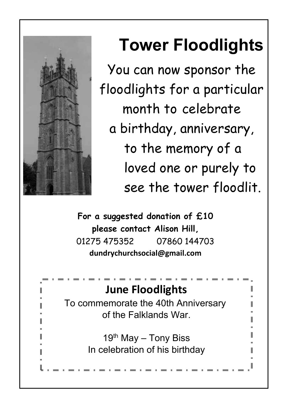

# **Tower Floodlights**

You can now sponsor the floodlights for a particular month to celebrate a birthday, anniversary, to the memory of a loved one or purely to see the tower floodlit.

**For a suggested donation of £10 please contact Alison Hill,** 01275 475352 07860 144703 **dundrychurchsocial@gmail.com**

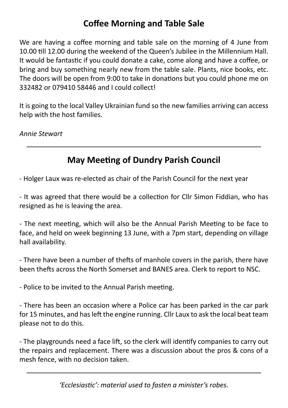### **Coffee Morning and Table Sale**

We are having a coffee morning and table sale on the morning of 4 June from 10.00 till 12.00 during the weekend of the Queen's Jubilee in the Millennium Hall. It would be fantastic if you could donate a cake, come along and have a coffee, or bring and buy something nearly new from the table sale. Plants, nice books, etc. The doors will be open from 9:00 to take in donations but you could phone me on 332482 or 079410 58446 and I could collect!

It is going to the local Valley Ukrainian fund so the new families arriving can access help with the host families.

*Annie Stewart*

### **May Meeting of Dundry Parish Council**

- Holger Laux was re-elected as chair of the Parish Council for the next year

- It was agreed that there would be a collection for Cllr Simon Fiddian, who has resigned as he is leaving the area.

- The next meeting, which will also be the Annual Parish Meeting to be face to face, and held on week beginning 13 June, with a 7pm start, depending on village hall availability.

- There have been a number of thefts of manhole covers in the parish, there have been thefts across the North Somerset and BANES area. Clerk to report to NSC.

- Police to be invited to the Annual Parish meeting.

- There has been an occasion where a Police car has been parked in the car park for 15 minutes, and has left the engine running. Cllr Laux to ask the local beat team please not to do this.

- The playgrounds need a face lift, so the clerk will identify companies to carry out the repairs and replacement. There was a discussion about the pros & cons of a mesh fence, with no decision taken.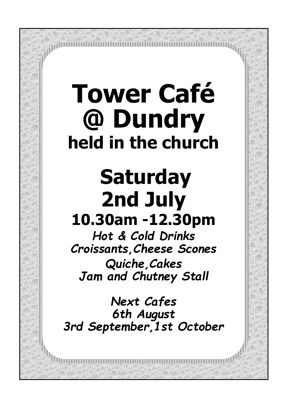# **Tower Café @ Dundry held in the church**

# **Saturday 2nd July 10.30am -12.30pm**

*Hot & Cold Drinks Croissants,Cheese Scones Quiche,Cakes Jam and Chutney Stall*

*Next Cafes 6th August 3rd September,1st October*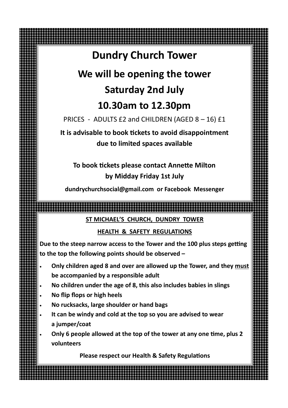### **Dundry Church Tower**

## **We will be opening the tower Saturday 2nd July**

### **10.30am to 12.30pm**

PRICES - ADULTS £2 and CHILDREN (AGED 8 - 16) £1

**It is advisable to book tickets to avoid disappointment due to limited spaces available** 

### **To book tickets please contact Annette Milton by Midday Friday 1st July**

**dundrychurchsocial@gmail.com or Facebook Messenger**

### **ST MICHAEL'S CHURCH, DUNDRY TOWER**

### **HEALTH & SAFETY REGULATIONS**

**Due to the steep narrow access to the Tower and the 100 plus steps getting to the top the following points should be observed –**

- **Only children aged 8 and over are allowed up the Tower, and they must be accompanied by a responsible adult**
- **No children under the age of 8, this also includes babies in slings**
- **No flip flops or high heels**
- **No rucksacks, large shoulder or hand bags**
- **It can be windy and cold at the top so you are advised to wear a jumper/coat**

• **Only 6 people allowed at the top of the tower at any one time, plus 2 volunteers**

**Please respect our Health & Safety Regulations**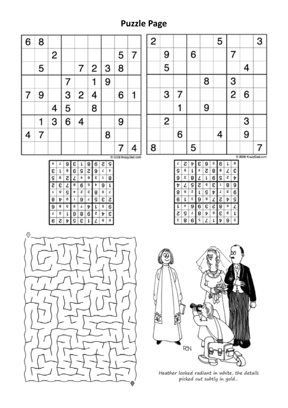### **Puzzle Page**

| 6 | 8 |   |   |   |   |   |   |   |  |
|---|---|---|---|---|---|---|---|---|--|
|   |   | 2 |   |   |   |   | 5 | 7 |  |
|   | 5 |   |   | 7 | 2 | 3 | 8 |   |  |
|   |   |   |   |   |   | 9 |   |   |  |
| 7 | 9 |   | 3 | 2 | 4 |   | 6 | 1 |  |
|   |   | 4 | 5 |   | 8 |   |   |   |  |
|   |   | 3 | 6 | 4 |   |   | 9 |   |  |
| 4 | 7 |   |   |   |   | 8 |   |   |  |
|   |   |   |   |   |   |   | 7 | 4 |  |

| 2                   |   |   |   |   | 5 |   |               | 3 |
|---------------------|---|---|---|---|---|---|---------------|---|
|                     | 9 |   | 6 |   |   | 7 |               |   |
|                     | 5 |   |   |   |   |   | 4             |   |
|                     |   |   |   | 8 |   | 3 |               |   |
|                     | 3 | 7 |   |   |   | 2 | 6             |   |
|                     |   |   |   | 9 |   |   |               |   |
|                     | 2 |   |   |   |   |   | $\frac{3}{9}$ |   |
|                     |   | 6 |   |   | 4 |   |               |   |
| 8                   |   |   | 5 |   |   |   |               | 7 |
| C 2008 KrazyDad.com |   |   |   |   |   |   |               |   |

| г |   | ę |   |   | e |   |
|---|---|---|---|---|---|---|
|   |   |   | г | 8 |   | ε |
|   | 8 |   |   | 6 |   |   |
|   | s | г |   | ε |   | 9 |
|   |   |   |   |   |   | е |
|   |   |   |   |   |   |   |
|   |   |   |   | с |   |   |
|   |   | 8 |   |   | ε |   |
| 8 | Б |   |   |   |   |   |







Heather looked radiant in white, the details<br>picked out subtly in gold...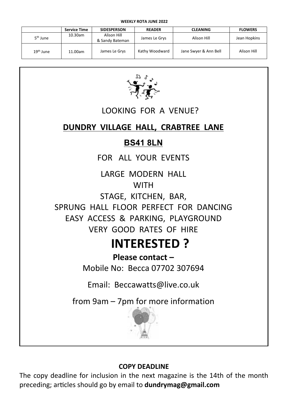|                       | <b>Service Time</b> | <b>SIDESPERSON</b>             | <b>READER</b>  | <b>CLEANING</b>       | <b>FLOWERS</b> |
|-----------------------|---------------------|--------------------------------|----------------|-----------------------|----------------|
| 5 <sup>th</sup> June  | 10.30am             | Alison Hill<br>& Sandy Bateman | James Le Grys  | Alison Hill           | Jean Hopkins   |
| 19 <sup>th</sup> June | 11.00am             | James Le Grys                  | Kathy Woodward | Jane Swyer & Ann Bell | Alison Hill    |



### LOOKING FOR A VENUE?

### **DUNDRY VILLAGE HALL, CRABTREE LANE**

### **BS41 8LN**

FOR ALL YOUR EVENTS

LARGE MODERN HALL WITH

STAGE, KITCHEN, BAR,

SPRUNG HALL FLOOR PERFECT FOR DANCING EASY ACCESS & PARKING, PLAYGROUND VERY GOOD RATES OF HIRE

### **INTERESTED ?**

**Please contact –** Mobile No: Becca 07702 307694

Email: Beccawatts@live.co.uk

from  $9$ am  $-$  7pm for more information



### **COPY DEADLINE**

The copy deadline for inclusion in the next magazine is the 14th of the month preceding; articles should go by email to **dundrymag@gmail.com**